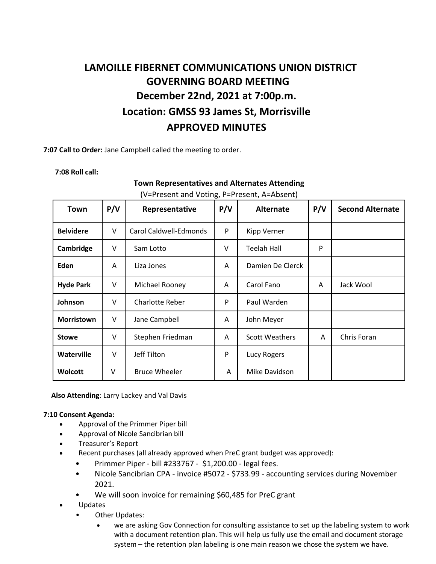## **LAMOILLE FIBERNET COMMUNICATIONS UNION DISTRICT GOVERNING BOARD MEETING December 22nd, 2021 at 7:00p.m. Location: GMSS 93 James St, Morrisville APPROVED MINUTES**

**7:07 Call to Order:** Jane Campbell called the meeting to order.

**7:08 Roll call:**

## **Town Representatives and Alternates Attending**

| (V=Present and Voting, P=Present, A=Absent) |  |
|---------------------------------------------|--|
|---------------------------------------------|--|

| Town              | P/V | Representative         | P/V    | <b>Alternate</b>      | P/V | <b>Second Alternate</b> |
|-------------------|-----|------------------------|--------|-----------------------|-----|-------------------------|
| <b>Belvidere</b>  | V   | Carol Caldwell-Edmonds | P      | Kipp Verner           |     |                         |
| Cambridge         | v   | Sam Lotto              | $\vee$ | <b>Teelah Hall</b>    | P   |                         |
| Eden              | Α   | Liza Jones             | A      | Damien De Clerck      |     |                         |
| <b>Hyde Park</b>  | V   | Michael Rooney         | A      | Carol Fano            | A   | Jack Wool               |
| Johnson           | v   | <b>Charlotte Reber</b> | P      | Paul Warden           |     |                         |
| <b>Morristown</b> | v   | Jane Campbell          | A      | John Meyer            |     |                         |
| <b>Stowe</b>      | V   | Stephen Friedman       | A      | <b>Scott Weathers</b> | A   | Chris Foran             |
| <b>Waterville</b> | v   | Jeff Tilton            | P      | Lucy Rogers           |     |                         |
| <b>Wolcott</b>    | v   | <b>Bruce Wheeler</b>   | A      | Mike Davidson         |     |                         |

**Also Attending**: Larry Lackey and Val Davis

## **7:10 Consent Agenda:**

- Approval of the Primmer Piper bill
- Approval of Nicole Sancibrian bill
- Treasurer's Report
- Recent purchases (all already approved when PreC grant budget was approved):
	- Primmer Piper bill #233767 \$1,200.00 legal fees.
	- Nicole Sancibrian CPA invoice #5072 \$733.99 accounting services during November 2021.
	- We will soon invoice for remaining \$60,485 for PreC grant
- Updates
	- Other Updates:
		- we are asking Gov Connection for consulting assistance to set up the labeling system to work with a document retention plan. This will help us fully use the email and document storage system – the retention plan labeling is one main reason we chose the system we have.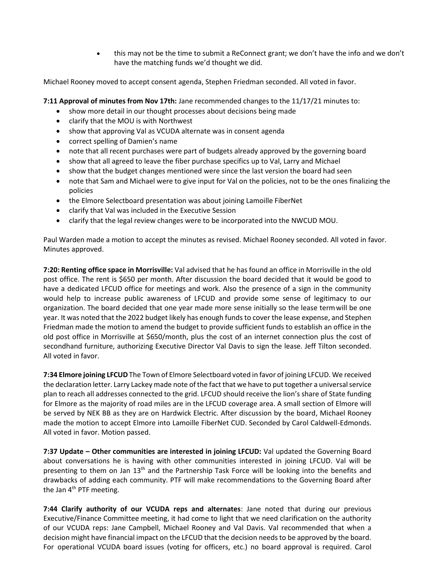• this may not be the time to submit a ReConnect grant; we don't have the info and we don't have the matching funds we'd thought we did.

Michael Rooney moved to accept consent agenda, Stephen Friedman seconded. All voted in favor.

**7:11 Approval of minutes from Nov 17th:** Jane recommended changes to the 11/17/21 minutes to:

- show more detail in our thought processes about decisions being made
- clarify that the MOU is with Northwest
- show that approving Val as VCUDA alternate was in consent agenda
- correct spelling of Damien's name
- note that all recent purchases were part of budgets already approved by the governing board
- show that all agreed to leave the fiber purchase specifics up to Val, Larry and Michael
- show that the budget changes mentioned were since the last version the board had seen
- note that Sam and Michael were to give input for Val on the policies, not to be the ones finalizing the policies
- the Elmore Selectboard presentation was about joining Lamoille FiberNet
- clarify that Val was included in the Executive Session
- clarify that the legal review changes were to be incorporated into the NWCUD MOU.

Paul Warden made a motion to accept the minutes as revised. Michael Rooney seconded. All voted in favor. Minutes approved.

**7:20: Renting office space in Morrisville:** Val advised that he has found an office in Morrisville in the old post office. The rent is \$650 per month. After discussion the board decided that it would be good to have a dedicated LFCUD office for meetings and work. Also the presence of a sign in the community would help to increase public awareness of LFCUD and provide some sense of legitimacy to our organization. The board decided that one year made more sense initially so the lease termwill be one year. It was noted that the 2022 budget likely has enough funds to cover the lease expense, and Stephen Friedman made the motion to amend the budget to provide sufficient funds to establish an office in the old post office in Morrisville at \$650/month, plus the cost of an internet connection plus the cost of secondhand furniture, authorizing Executive Director Val Davis to sign the lease. Jeff Tilton seconded. All voted in favor.

**7:34 Elmore joining LFCUD** The Town of Elmore Selectboard voted in favor of joining LFCUD. We received the declaration letter. Larry Lackey made note of the fact that we have to put together a universal service plan to reach all addresses connected to the grid. LFCUD should receive the lion's share of State funding for Elmore as the majority of road miles are in the LFCUD coverage area. A small section of Elmore will be served by NEK BB as they are on Hardwick Electric. After discussion by the board, Michael Rooney made the motion to accept Elmore into Lamoille FiberNet CUD. Seconded by Carol Caldwell-Edmonds. All voted in favor. Motion passed.

**7:37 Update – Other communities are interested in joining LFCUD:** Val updated the Governing Board about conversations he is having with other communities interested in joining LFCUD. Val will be presenting to them on Jan  $13<sup>th</sup>$  and the Partnership Task Force will be looking into the benefits and drawbacks of adding each community. PTF will make recommendations to the Governing Board after the Jan 4<sup>th</sup> PTF meeting.

**7:44 Clarify authority of our VCUDA reps and alternates**: Jane noted that during our previous Executive/Finance Committee meeting, it had come to light that we need clarification on the authority of our VCUDA reps: Jane Campbell, Michael Rooney and Val Davis. Val recommended that when a decision might have financial impact on the LFCUD that the decision needs to be approved by the board. For operational VCUDA board issues (voting for officers, etc.) no board approval is required. Carol